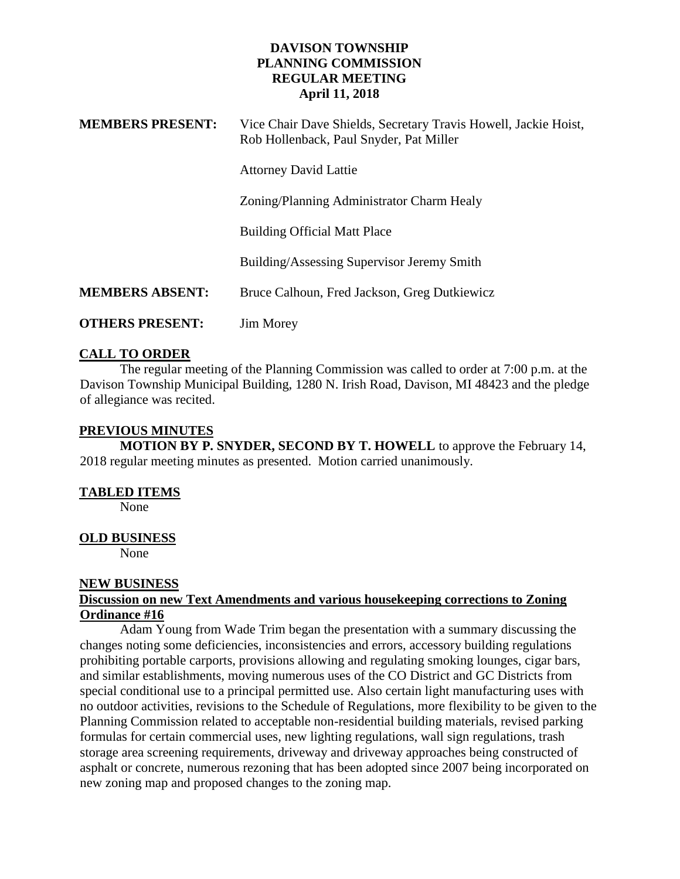## **DAVISON TOWNSHIP PLANNING COMMISSION REGULAR MEETING April 11, 2018**

| <b>MEMBERS PRESENT:</b> | Vice Chair Dave Shields, Secretary Travis Howell, Jackie Hoist,<br>Rob Hollenback, Paul Snyder, Pat Miller |
|-------------------------|------------------------------------------------------------------------------------------------------------|
|                         | <b>Attorney David Lattie</b>                                                                               |
|                         | Zoning/Planning Administrator Charm Healy                                                                  |
|                         | <b>Building Official Matt Place</b>                                                                        |
|                         | Building/Assessing Supervisor Jeremy Smith                                                                 |
| <b>MEMBERS ABSENT:</b>  | Bruce Calhoun, Fred Jackson, Greg Dutkiewicz                                                               |
| <b>OTHERS PRESENT:</b>  | <b>Jim Morey</b>                                                                                           |

# **CALL TO ORDER**

The regular meeting of the Planning Commission was called to order at 7:00 p.m. at the Davison Township Municipal Building, 1280 N. Irish Road, Davison, MI 48423 and the pledge of allegiance was recited.

## **PREVIOUS MINUTES**

**MOTION BY P. SNYDER, SECOND BY T. HOWELL** to approve the February 14, 2018 regular meeting minutes as presented. Motion carried unanimously.

#### **TABLED ITEMS**

None

#### **OLD BUSINESS**

None

#### **NEW BUSINESS**

#### **Discussion on new Text Amendments and various housekeeping corrections to Zoning Ordinance #16**

Adam Young from Wade Trim began the presentation with a summary discussing the changes noting some deficiencies, inconsistencies and errors, accessory building regulations prohibiting portable carports, provisions allowing and regulating smoking lounges, cigar bars, and similar establishments, moving numerous uses of the CO District and GC Districts from special conditional use to a principal permitted use. Also certain light manufacturing uses with no outdoor activities, revisions to the Schedule of Regulations, more flexibility to be given to the Planning Commission related to acceptable non-residential building materials, revised parking formulas for certain commercial uses, new lighting regulations, wall sign regulations, trash storage area screening requirements, driveway and driveway approaches being constructed of asphalt or concrete, numerous rezoning that has been adopted since 2007 being incorporated on new zoning map and proposed changes to the zoning map.